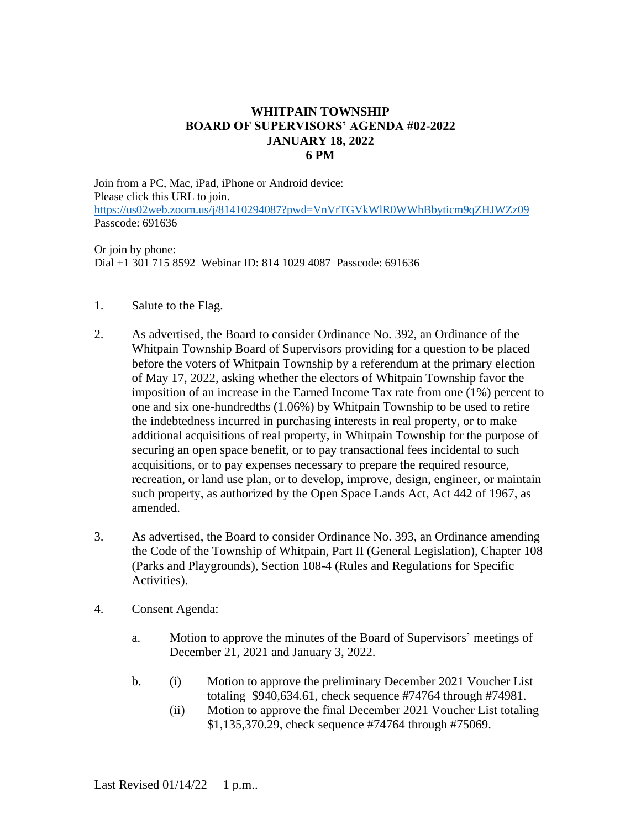## **WHITPAIN TOWNSHIP BOARD OF SUPERVISORS' AGENDA #02-2022 JANUARY 18, 2022 6 PM**

Join from a PC, Mac, iPad, iPhone or Android device: Please click this URL to join. <https://us02web.zoom.us/j/81410294087?pwd=VnVrTGVkWlR0WWhBbyticm9qZHJWZz09> Passcode: 691636

Or join by phone: Dial +1 301 715 8592 Webinar ID: 814 1029 4087 Passcode: 691636

- 1. Salute to the Flag.
- 2. As advertised, the Board to consider Ordinance No. 392, an Ordinance of the Whitpain Township Board of Supervisors providing for a question to be placed before the voters of Whitpain Township by a referendum at the primary election of May 17, 2022, asking whether the electors of Whitpain Township favor the imposition of an increase in the Earned Income Tax rate from one (1%) percent to one and six one-hundredths (1.06%) by Whitpain Township to be used to retire the indebtedness incurred in purchasing interests in real property, or to make additional acquisitions of real property, in Whitpain Township for the purpose of securing an open space benefit, or to pay transactional fees incidental to such acquisitions, or to pay expenses necessary to prepare the required resource, recreation, or land use plan, or to develop, improve, design, engineer, or maintain such property, as authorized by the Open Space Lands Act, Act 442 of 1967, as amended.
- 3. As advertised, the Board to consider Ordinance No. 393, an Ordinance amending the Code of the Township of Whitpain, Part II (General Legislation), Chapter 108 (Parks and Playgrounds), Section 108-4 (Rules and Regulations for Specific Activities).
- 4. Consent Agenda:
	- a. Motion to approve the minutes of the Board of Supervisors' meetings of December 21, 2021 and January 3, 2022.
	- b. (i) Motion to approve the preliminary December 2021 Voucher List totaling \$940,634.61, check sequence #74764 through #74981.
		- (ii) Motion to approve the final December 2021 Voucher List totaling \$1,135,370.29, check sequence #74764 through #75069.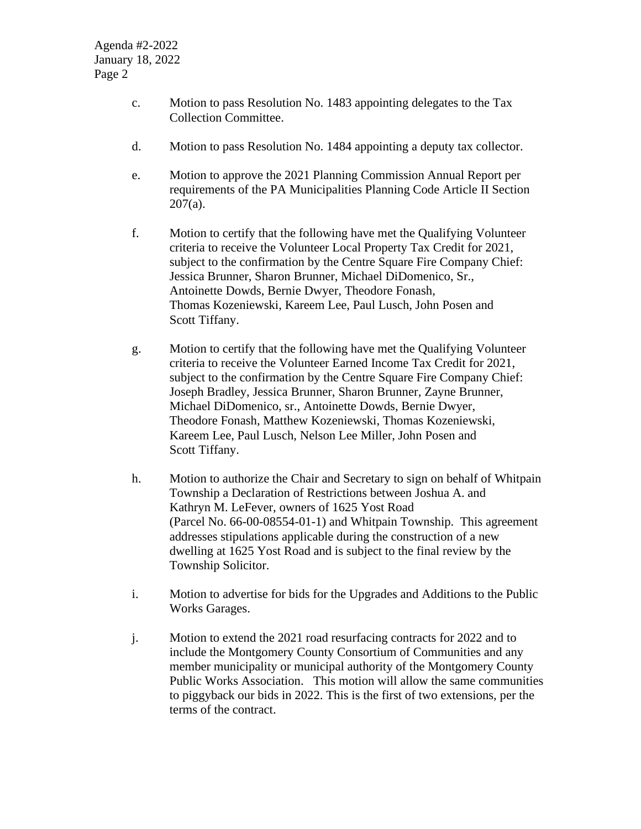- c. Motion to pass Resolution No. 1483 appointing delegates to the Tax Collection Committee.
- d. Motion to pass Resolution No. 1484 appointing a deputy tax collector.
- e. Motion to approve the 2021 Planning Commission Annual Report per requirements of the PA Municipalities Planning Code Article II Section  $207(a)$ .
- f. Motion to certify that the following have met the Qualifying Volunteer criteria to receive the Volunteer Local Property Tax Credit for 2021, subject to the confirmation by the Centre Square Fire Company Chief: Jessica Brunner, Sharon Brunner, Michael DiDomenico, Sr., Antoinette Dowds, Bernie Dwyer, Theodore Fonash, Thomas Kozeniewski, Kareem Lee, Paul Lusch, John Posen and Scott Tiffany.
- g. Motion to certify that the following have met the Qualifying Volunteer criteria to receive the Volunteer Earned Income Tax Credit for 2021, subject to the confirmation by the Centre Square Fire Company Chief: Joseph Bradley, Jessica Brunner, Sharon Brunner, Zayne Brunner, Michael DiDomenico, sr., Antoinette Dowds, Bernie Dwyer, Theodore Fonash, Matthew Kozeniewski, Thomas Kozeniewski, Kareem Lee, Paul Lusch, Nelson Lee Miller, John Posen and Scott Tiffany.
- h. Motion to authorize the Chair and Secretary to sign on behalf of Whitpain Township a Declaration of Restrictions between Joshua A. and Kathryn M. LeFever, owners of 1625 Yost Road (Parcel No. 66-00-08554-01-1) and Whitpain Township. This agreement addresses stipulations applicable during the construction of a new dwelling at 1625 Yost Road and is subject to the final review by the Township Solicitor.
- i. Motion to advertise for bids for the Upgrades and Additions to the Public Works Garages.
- j. Motion to extend the 2021 road resurfacing contracts for 2022 and to include the Montgomery County Consortium of Communities and any member municipality or municipal authority of the Montgomery County Public Works Association. This motion will allow the same communities to piggyback our bids in 2022. This is the first of two extensions, per the terms of the contract.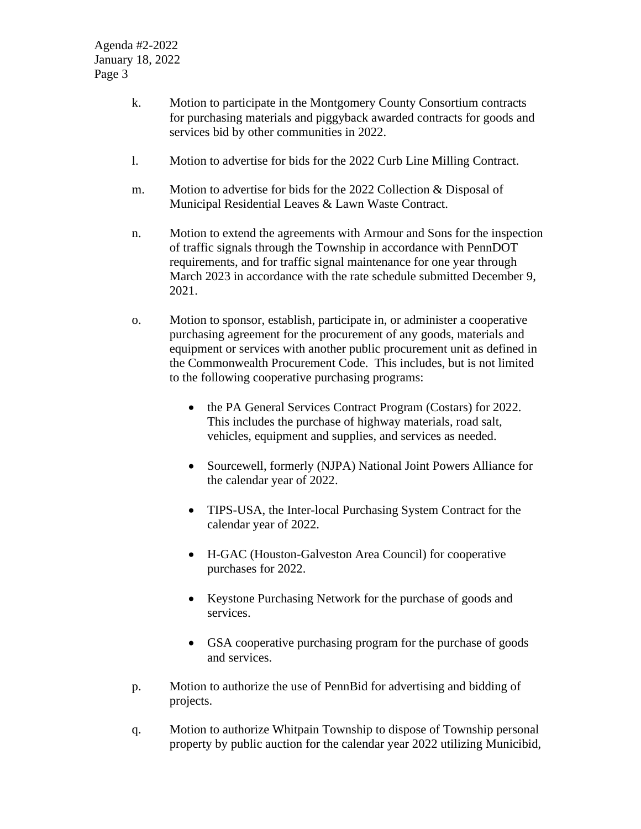- k. Motion to participate in the Montgomery County Consortium contracts for purchasing materials and piggyback awarded contracts for goods and services bid by other communities in 2022.
- l. Motion to advertise for bids for the 2022 Curb Line Milling Contract.
- m. Motion to advertise for bids for the 2022 Collection & Disposal of Municipal Residential Leaves & Lawn Waste Contract.
- n. Motion to extend the agreements with Armour and Sons for the inspection of traffic signals through the Township in accordance with PennDOT requirements, and for traffic signal maintenance for one year through March 2023 in accordance with the rate schedule submitted December 9, 2021.
- o. Motion to sponsor, establish, participate in, or administer a cooperative purchasing agreement for the procurement of any goods, materials and equipment or services with another public procurement unit as defined in the Commonwealth Procurement Code. This includes, but is not limited to the following cooperative purchasing programs:
	- the PA General Services Contract Program (Costars) for 2022. This includes the purchase of highway materials, road salt, vehicles, equipment and supplies, and services as needed.
	- Sourcewell, formerly (NJPA) National Joint Powers Alliance for the calendar year of 2022.
	- TIPS-USA, the Inter-local Purchasing System Contract for the calendar year of 2022.
	- H-GAC (Houston-Galveston Area Council) for cooperative purchases for 2022.
	- Keystone Purchasing Network for the purchase of goods and services.
	- GSA cooperative purchasing program for the purchase of goods and services.
- p. Motion to authorize the use of PennBid for advertising and bidding of projects.
- q. Motion to authorize Whitpain Township to dispose of Township personal property by public auction for the calendar year 2022 utilizing Municibid,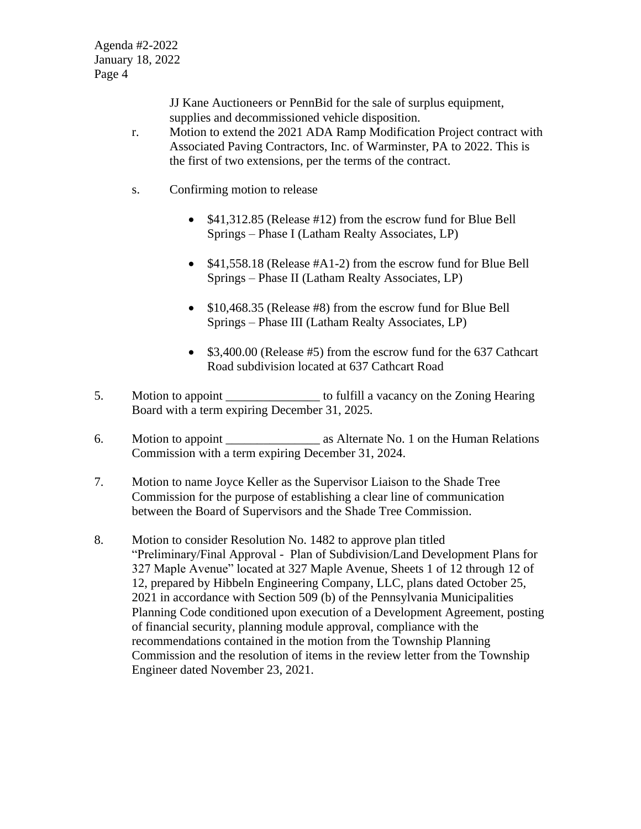JJ Kane Auctioneers or PennBid for the sale of surplus equipment, supplies and decommissioned vehicle disposition.

- r. Motion to extend the 2021 ADA Ramp Modification Project contract with Associated Paving Contractors, Inc. of Warminster, PA to 2022. This is the first of two extensions, per the terms of the contract.
- s. Confirming motion to release
	- \$41,312.85 (Release #12) from the escrow fund for Blue Bell Springs – Phase I (Latham Realty Associates, LP)
	- \$41,558.18 (Release #A1-2) from the escrow fund for Blue Bell Springs – Phase II (Latham Realty Associates, LP)
	- \$10,468.35 (Release #8) from the escrow fund for Blue Bell Springs – Phase III (Latham Realty Associates, LP)
	- \$3,400.00 (Release #5) from the escrow fund for the 637 Cathcart Road subdivision located at 637 Cathcart Road
- 5. Motion to appoint \_\_\_\_\_\_\_\_\_\_\_\_\_\_\_ to fulfill a vacancy on the Zoning Hearing Board with a term expiring December 31, 2025.
- 6. Motion to appoint as Alternate No. 1 on the Human Relations Commission with a term expiring December 31, 2024.
- 7. Motion to name Joyce Keller as the Supervisor Liaison to the Shade Tree Commission for the purpose of establishing a clear line of communication between the Board of Supervisors and the Shade Tree Commission.
- 8. Motion to consider Resolution No. 1482 to approve plan titled "Preliminary/Final Approval - Plan of Subdivision/Land Development Plans for 327 Maple Avenue" located at 327 Maple Avenue, Sheets 1 of 12 through 12 of 12, prepared by Hibbeln Engineering Company, LLC, plans dated October 25, 2021 in accordance with Section 509 (b) of the Pennsylvania Municipalities Planning Code conditioned upon execution of a Development Agreement, posting of financial security, planning module approval, compliance with the recommendations contained in the motion from the Township Planning Commission and the resolution of items in the review letter from the Township Engineer dated November 23, 2021.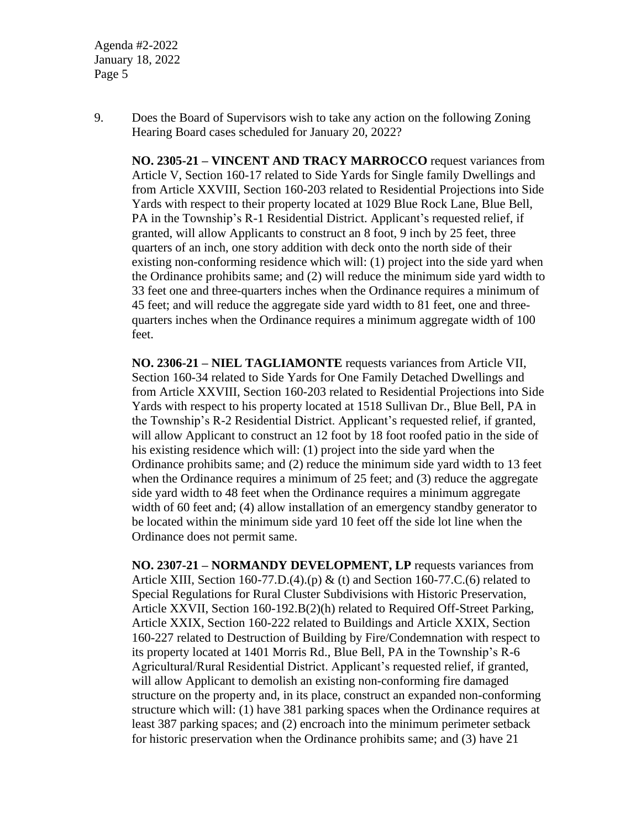Agenda #2-2022 January 18, 2022 Page 5

9. Does the Board of Supervisors wish to take any action on the following Zoning Hearing Board cases scheduled for January 20, 2022?

**NO. 2305-21 – VINCENT AND TRACY MARROCCO** request variances from Article V, Section 160-17 related to Side Yards for Single family Dwellings and from Article XXVIII, Section 160-203 related to Residential Projections into Side Yards with respect to their property located at 1029 Blue Rock Lane, Blue Bell, PA in the Township's R-1 Residential District. Applicant's requested relief, if granted, will allow Applicants to construct an 8 foot, 9 inch by 25 feet, three quarters of an inch, one story addition with deck onto the north side of their existing non-conforming residence which will: (1) project into the side yard when the Ordinance prohibits same; and (2) will reduce the minimum side yard width to 33 feet one and three-quarters inches when the Ordinance requires a minimum of 45 feet; and will reduce the aggregate side yard width to 81 feet, one and threequarters inches when the Ordinance requires a minimum aggregate width of 100 feet.

**NO. 2306-21 – NIEL TAGLIAMONTE** requests variances from Article VII, Section 160-34 related to Side Yards for One Family Detached Dwellings and from Article XXVIII, Section 160-203 related to Residential Projections into Side Yards with respect to his property located at 1518 Sullivan Dr., Blue Bell, PA in the Township's R-2 Residential District. Applicant's requested relief, if granted, will allow Applicant to construct an 12 foot by 18 foot roofed patio in the side of his existing residence which will: (1) project into the side yard when the Ordinance prohibits same; and (2) reduce the minimum side yard width to 13 feet when the Ordinance requires a minimum of 25 feet; and (3) reduce the aggregate side yard width to 48 feet when the Ordinance requires a minimum aggregate width of 60 feet and; (4) allow installation of an emergency standby generator to be located within the minimum side yard 10 feet off the side lot line when the Ordinance does not permit same.

**NO. 2307-21 – NORMANDY DEVELOPMENT, LP** requests variances from Article XIII, Section 160-77.D.(4).(p) & (t) and Section 160-77.C.(6) related to Special Regulations for Rural Cluster Subdivisions with Historic Preservation, Article XXVII, Section 160-192.B(2)(h) related to Required Off-Street Parking, Article XXIX, Section 160-222 related to Buildings and Article XXIX, Section 160-227 related to Destruction of Building by Fire/Condemnation with respect to its property located at 1401 Morris Rd., Blue Bell, PA in the Township's R-6 Agricultural/Rural Residential District. Applicant's requested relief, if granted, will allow Applicant to demolish an existing non-conforming fire damaged structure on the property and, in its place, construct an expanded non-conforming structure which will: (1) have 381 parking spaces when the Ordinance requires at least 387 parking spaces; and (2) encroach into the minimum perimeter setback for historic preservation when the Ordinance prohibits same; and (3) have 21